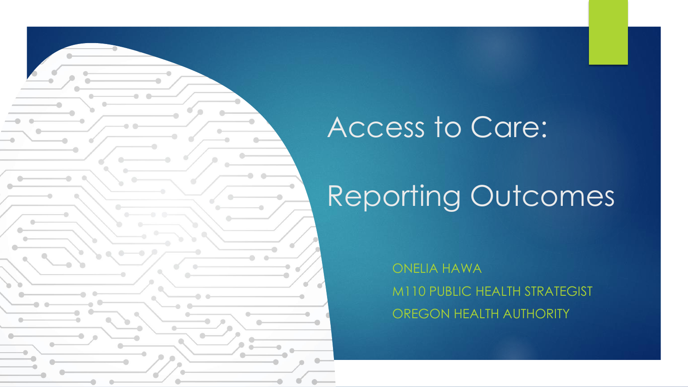

# Access to Care:

# Reporting Outcomes

ONELIA HAWA M110 PUBLIC HEALTH STRATEGIST OREGON HEALTH AUTHORITY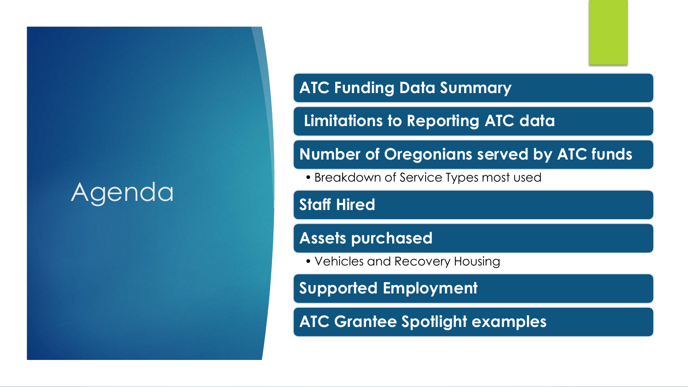## Agenda

### **ATC Funding Data Summary**

**Limitations to Reporting ATC data**

#### **Number of Oregonians served by ATC funds**

• Breakdown of Service Types most used

**Staff Hired**

#### **Assets purchased**

• Vehicles and Recovery Housing

**Supported Employment**

**ATC Grantee Spotlight examples**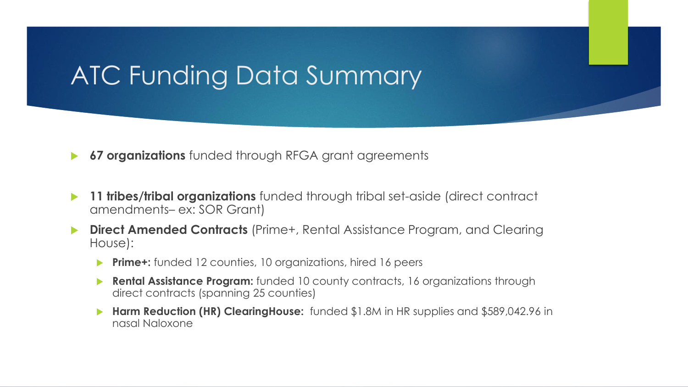### ATC Funding Data Summary

- **67 organizations** funded through RFGA grant agreements
- **11 tribes/tribal organizations** funded through tribal set-aside (direct contract amendments– ex: SOR Grant)
- **Direct Amended Contracts** (Prime+, Rental Assistance Program, and Clearing House):
	- **Prime+:** funded 12 counties, 10 organizations, hired 16 peers
	- **Rental Assistance Program:** funded 10 county contracts, 16 organizations through direct contracts (spanning 25 counties)
	- **Harm Reduction (HR) ClearingHouse:** funded \$1.8M in HR supplies and \$589,042.96 in nasal Naloxone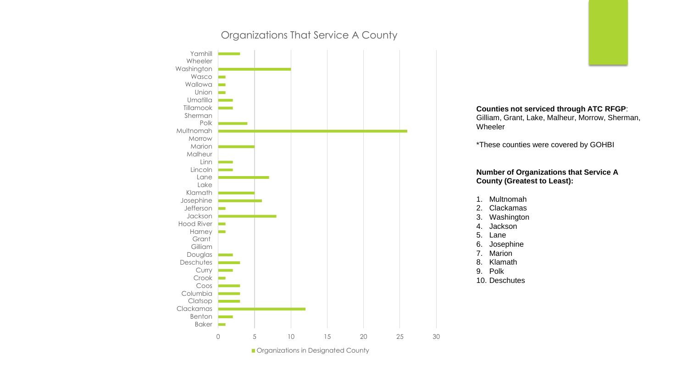

#### Organizations That Service A County



**Organizations in Designated County**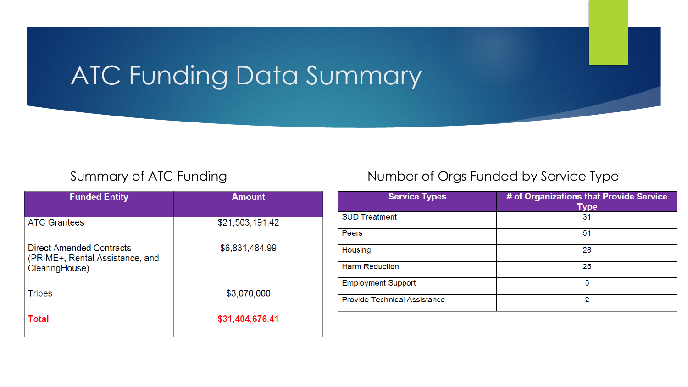### ATC Funding Data Summary

| <b>Funded Entity</b>                                                                 | <b>Amount</b>   |  |
|--------------------------------------------------------------------------------------|-----------------|--|
| <b>ATC Grantees</b>                                                                  | \$21,503,191.42 |  |
| <b>Direct Amended Contracts</b><br>(PRIME+, Rental Assistance, and<br>ClearingHouse) | \$6,831,484.99  |  |
| <b>Tribes</b>                                                                        | \$3,070,000     |  |
| <b>Total</b>                                                                         | \$31,404,676.41 |  |

#### Summary of ATC Funding **Number of Orgs Funded by Service Type**

| <b>Service Types</b>                | # of Organizations that Provide Service<br><b>Type</b> |
|-------------------------------------|--------------------------------------------------------|
| <b>SUD Treatment</b>                | 31                                                     |
| Peers                               | 51                                                     |
| Housing                             | 28                                                     |
| <b>Harm Reduction</b>               | 25                                                     |
| <b>Employment Support</b>           | 5                                                      |
| <b>Provide Technical Assistance</b> | 2                                                      |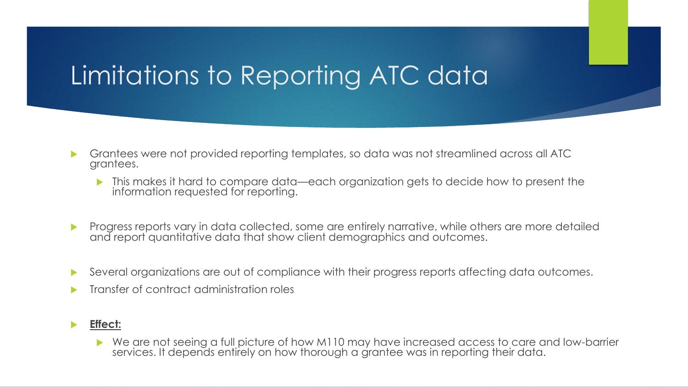## Limitations to Reporting ATC data

- Grantees were not provided reporting templates, so data was not streamlined across all ATC grantees.
	- This makes it hard to compare data—each organization gets to decide how to present the information requested for reporting.
- **Progress reports vary in data collected, some are entirely narrative, while others are more detailed** and report quantitative data that show client demographics and outcomes.
- Several organizations are out of compliance with their progress reports affecting data outcomes.
- Transfer of contract administration roles

#### **Effect:**

▶ We are not seeing a full picture of how M110 may have increased access to care and low-barrier services. It depends entirely on how thorough a grantee was in reporting their data.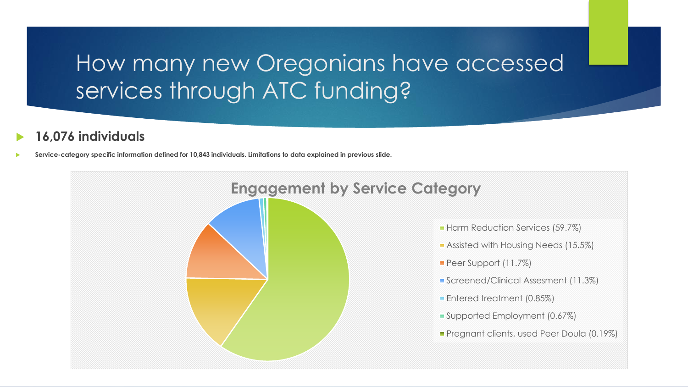### How many new Oregonians have accessed services through ATC funding?

#### **16,076 individuals**

**Service-category specific information defined for 10,843 individuals. Limitations to data explained in previous slide.**

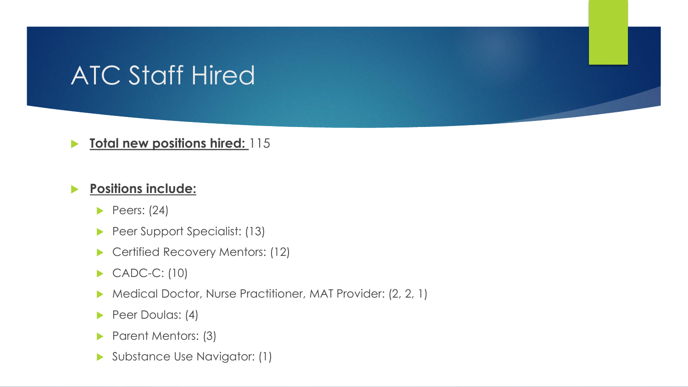### ATC Staff Hired

#### **Total new positions hired:** 115

#### **Positions include:**

- $\blacktriangleright$  Peers: (24)
- Peer Support Specialist: (13)
- ▶ Certified Recovery Mentors: (12)
- ▶ CADC-C: (10)
- ▶ Medical Doctor, Nurse Practitioner, MAT Provider: (2, 2, 1)
- Peer Doulas: (4)
- Parent Mentors: (3)
- Substance Use Navigator: (1)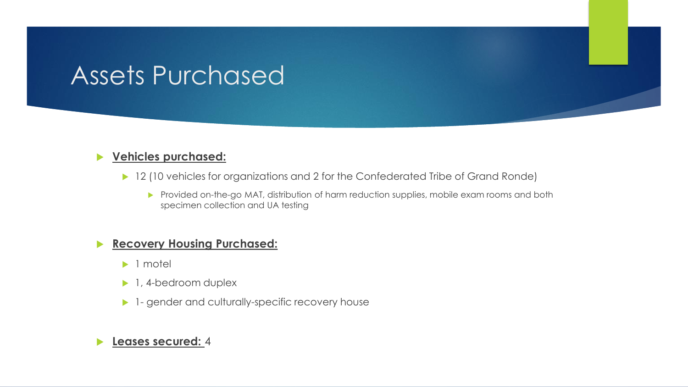### Assets Purchased

#### **Vehicles purchased:**

- ▶ 12 (10 vehicles for organizations and 2 for the Confederated Tribe of Grand Ronde)
	- Provided on-the-go MAT, distribution of harm reduction supplies, mobile exam rooms and both specimen collection and UA testing

#### **Recovery Housing Purchased:**

- l motel
- ▶ 1, 4-bedroom duplex
- 1- gender and culturally-specific recovery house

#### **Leases secured:** 4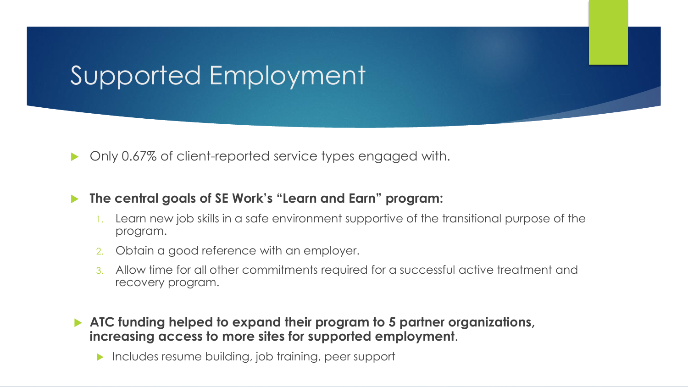### Supported Employment

• Only 0.67% of client-reported service types engaged with.

#### **The central goals of SE Work's "Learn and Earn" program:**

- 1. Learn new job skills in a safe environment supportive of the transitional purpose of the program.
- 2. Obtain a good reference with an employer.
- 3. Allow time for all other commitments required for a successful active treatment and recovery program.
- **ATC funding helped to expand their program to 5 partner organizations, increasing access to more sites for supported employment**.
	- Includes resume building, job training, peer support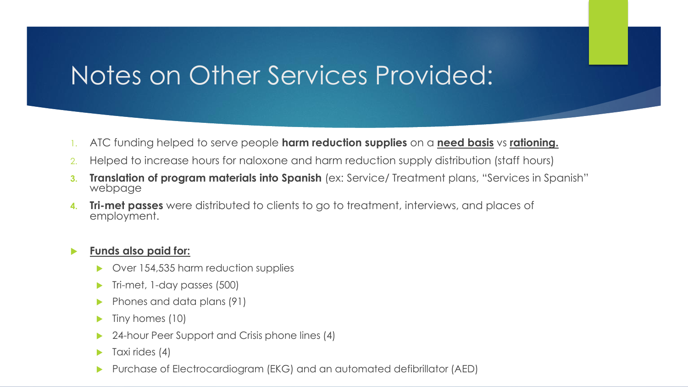### Notes on Other Services Provided:

- 1. ATC funding helped to serve people **harm reduction supplies** on a **need basis** vs **rationing.**
- 2. Helped to increase hours for naloxone and harm reduction supply distribution (staff hours)
- **3. Translation of program materials into Spanish** (ex: Service/ Treatment plans, "Services in Spanish" webpage
- **4. Tri-met passes** were distributed to clients to go to treatment, interviews, and places of employment.

#### **Funds also paid for:**

- Over 154,535 harm reduction supplies
- Tri-met, 1-day passes (500)
- Phones and data plans (91)
- $\blacktriangleright$  Tiny homes (10)
- 24-hour Peer Support and Crisis phone lines (4)
- Taxi rides (4)
- Purchase of Electrocardiogram (EKG) and an automated defibrillator (AED)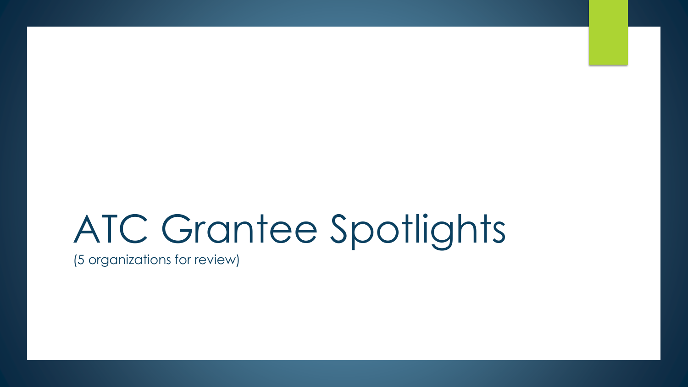# ATC Grantee Spotlights

(5 organizations for review)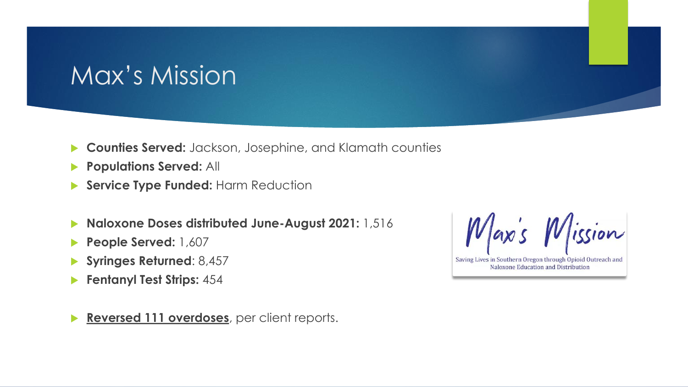### Max's Mission

- **Counties Served:** Jackson, Josephine, and Klamath counties
- **Populations Served:** All
- **Service Type Funded: Harm Reduction**
- **Naloxone Doses distributed June-August 2021:** 1,516
- **People Served:** 1,607
- **Syringes Returned**: 8,457
- **Fentanyl Test Strips:** 454

**Reversed 111 overdoses**, per client reports.

Max's Mission

Saving Lives in Southern Oregon through Opioid Outreach and Naloxone Education and Distribution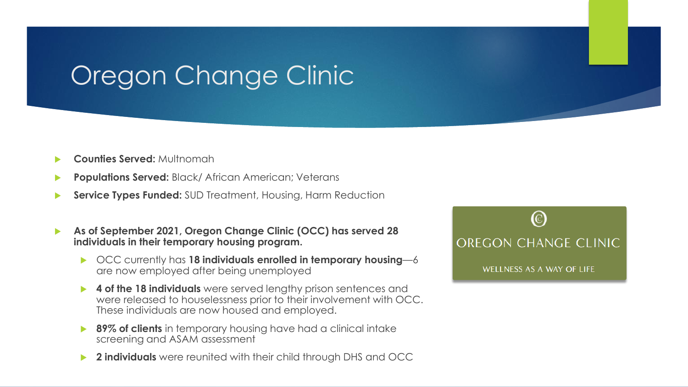## Oregon Change Clinic

- **Counties Served:** Multnomah
- **Populations Served: Black/ African American; Veterans**
- **Service Types Funded:** SUD Treatment, Housing, Harm Reduction
- **As of September 2021, Oregon Change Clinic (OCC) has served 28 individuals in their temporary housing program.** 
	- OCC currently has **18 individuals enrolled in temporary housing**—6 are now employed after being unemployed
	- **4 of the 18 individuals** were served lengthy prison sentences and were released to houselessness prior to their involvement with OCC. These individuals are now housed and employed.
	- **89% of clients** in temporary housing have had a clinical intake screening and ASAM assessment
	- **2 individuals** were reunited with their child through DHS and OCC

C) OREGON CHANGE CLINIC **WELLNESS AS A WAY OF LIFE**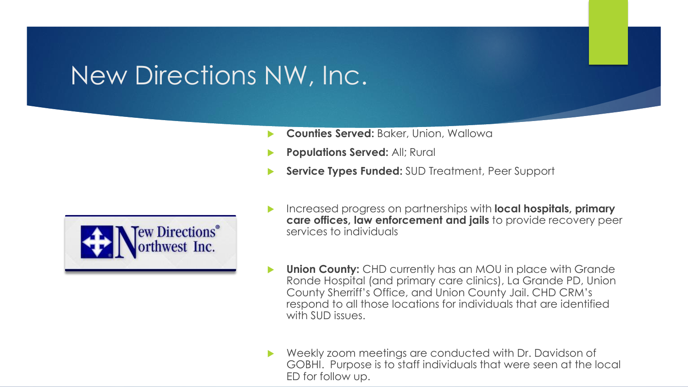### New Directions NW, Inc.

- **Counties Served:** Baker, Union, Wallowa
- **Populations Served: All; Rural**
- **Service Types Funded:** SUD Treatment, Peer Support



- Increased progress on partnerships with **local hospitals, primary care offices, law enforcement and jails** to provide recovery peer services to individuals
- **Union County:** CHD currently has an MOU in place with Grande Ronde Hospital (and primary care clinics), La Grande PD, Union County Sherriff's Office, and Union County Jail. CHD CRM's respond to all those locations for individuals that are identified with SUD issues.
- Weekly zoom meetings are conducted with Dr. Davidson of GOBHI. Purpose is to staff individuals that were seen at the local ED for follow up.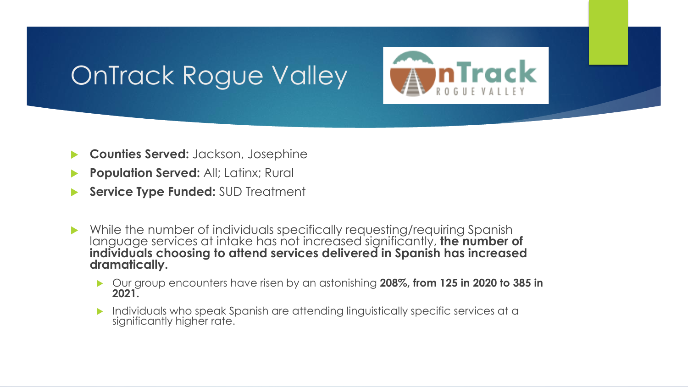## OnTrack Rogue Valley



- **Counties Served:** Jackson, Josephine
- **Population Served: All; Latinx; Rural**
- **Service Type Funded:** SUD Treatment
- While the number of individuals specifically requesting/requiring Spanish language services at intake has not increased significantly, **the number of individuals choosing to attend services delivered in Spanish has increased dramatically.** 
	- Our group encounters have risen by an astonishing **208%, from 125 in 2020 to 385 in 2021.**
	- Individuals who speak Spanish are attending linguistically specific services at a significantly higher rate.